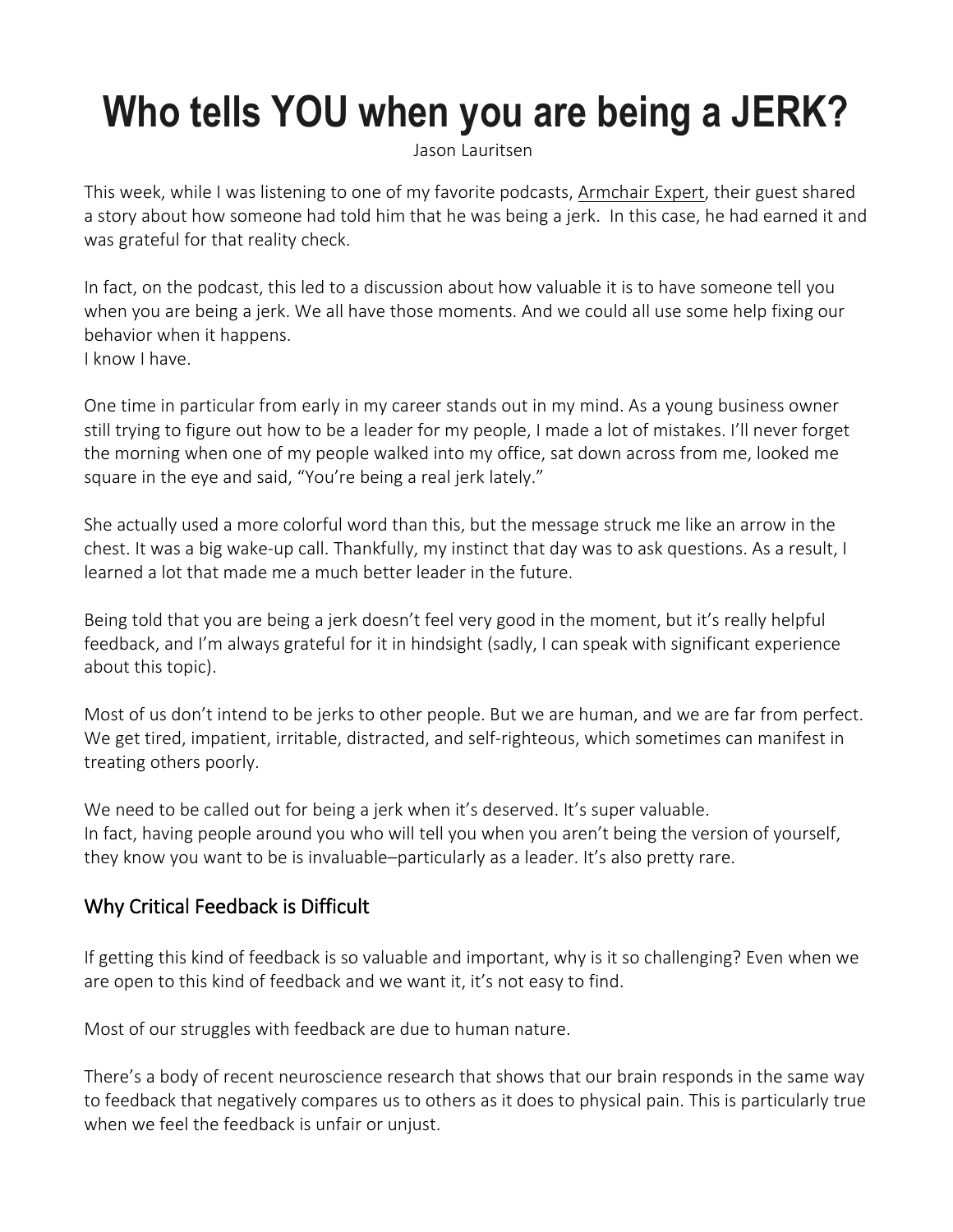# **Who tells YOU when you are being a JERK?**

[Jason](https://jasonlauritsen.com/2022/02/who-tells-you-when-you-are-being-a-jerk/#eut-about-author) Lauritsen

This week, while I was listening to one of my favorite podcasts, [Armchair](https://armchairexpertpod.com/) Expert, their guest shared a story about how someone had told him that he was being a jerk. In this case, he had earned it and was grateful for that reality check.

In fact, on the podcast, this led to a discussion about how valuable it is to have someone tell you when you are being a jerk. We all have those moments. And we could all use some help fixing our behavior when it happens. I know I have.

One time in particular from early in my career stands out in my mind. As a young business owner still trying to figure out how to be a leader for my people, I made a lot of mistakes. I'll never forget the morning when one of my people walked into my office, sat down across from me, looked me square in the eye and said, "You're being a real jerk lately."

She actually used a more colorful word than this, but the message struck me like an arrow in the chest. It was a big wake-up call. Thankfully, my instinct that day was to ask questions. As a result, I learned a lot that made me a much better leader in the future.

Being told that you are being a jerk doesn't feel very good in the moment, but it's really helpful feedback, and I'm always grateful for it in hindsight (sadly, I can speak with significant experience about this topic).

Most of us don't intend to be jerks to other people. But we are human, and we are far from perfect. We get tired, impatient, irritable, distracted, and self-righteous, which sometimes can manifest in treating others poorly.

We need to be called out for being a jerk when it's deserved. It's super valuable. In fact, having people around you who will tell you when you aren't being the version of yourself, they know you want to be is invaluable–particularly as a leader. It's also pretty rare.

## Why Critical Feedback is Difficult

If getting this kind of feedback is so valuable and important, why is it so challenging? Even when we are open to this kind of feedback and we want it, it's not easy to find.

Most of our struggles with feedback are due to human nature.

There's a body of recent neuroscience research that shows that our brain responds in the same way to feedback that negatively compares us to others as it does to physical pain. This is particularly true when we feel the feedback is unfair or uniust.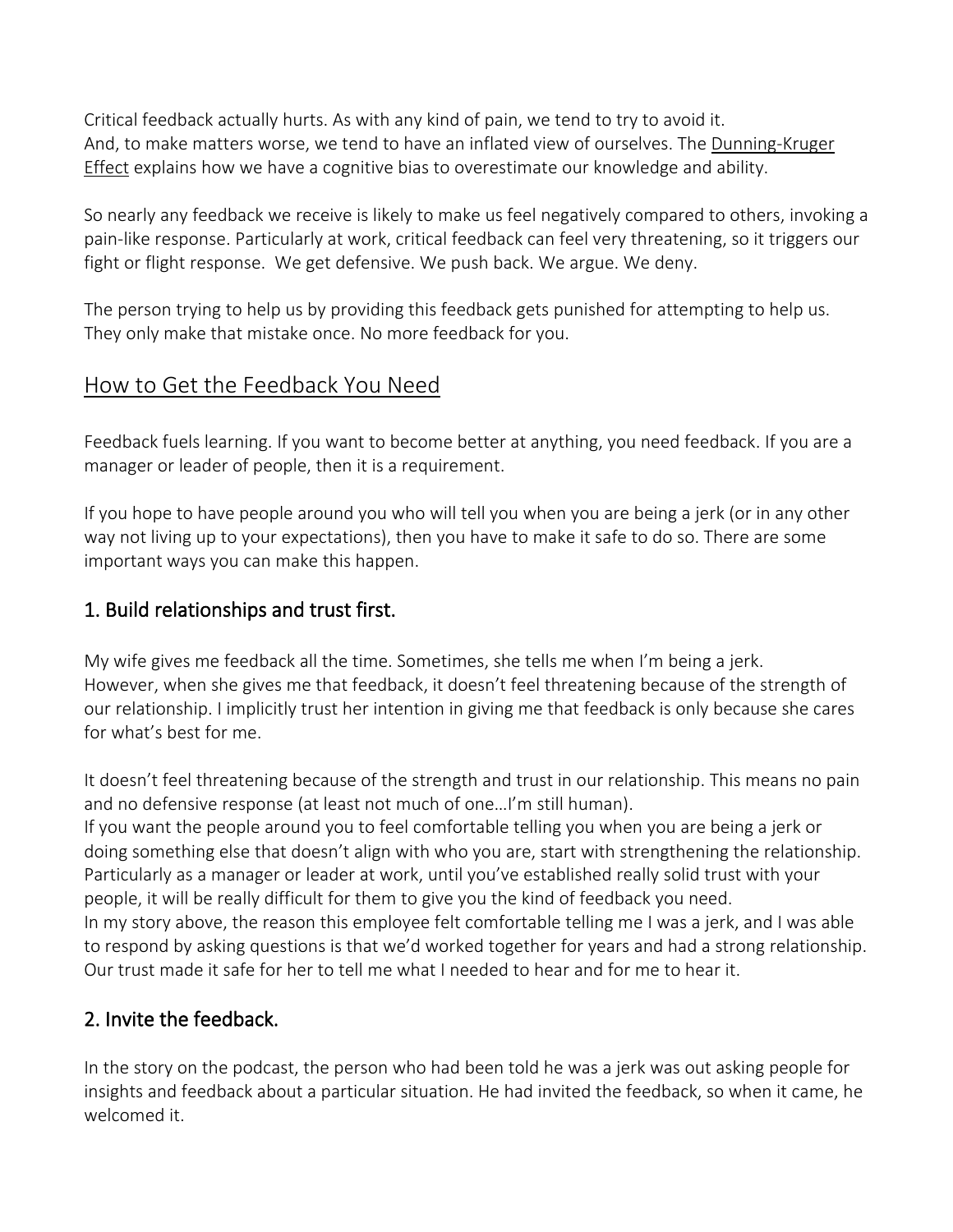Critical feedback actually hurts. As with any kind of pain, we tend to try to avoid it. And, to make matters worse, we tend to have an inflated view of ourselves. The [Dunning-Kruger](https://www.psychologytoday.com/us/basics/dunning-kruger-effect) [Effect](https://www.psychologytoday.com/us/basics/dunning-kruger-effect) explains how we have a cognitive bias to overestimate our knowledge and ability.

So nearly any feedback we receive is likely to make us feel negatively compared to others, invoking a pain-like response. Particularly at work, critical feedback can feel very threatening, so it triggers our fight or flight response. We get defensive. We push back. We argue. We deny.

The person trying to help us by providing this feedback gets punished for attempting to help us. They only make that mistake once. No more feedback for you.

## How to Get the Feedback You Need

Feedback fuels learning. If you want to become better at anything, you need feedback. If you are a manager or leader of people, then it is a requirement.

If you hope to have people around you who will tell you when you are being a jerk (or in any other way not living up to your expectations), then you have to make it safe to do so. There are some important ways you can make this happen.

### 1. Build relationships and trust first.

My wife gives me feedback all the time. Sometimes, she tells me when I'm being a jerk. However, when she gives me that feedback, it doesn't feel threatening because of the strength of our relationship. I implicitly trust her intention in giving me that feedback is only because she cares for what's best for me.

It doesn't feel threatening because of the strength and trust in our relationship. This means no pain and no defensive response (at least not much of one…I'm still human).

If you want the people around you to feel comfortable telling you when you are being a jerk or doing something else that doesn't align with who you are, start with strengthening the relationship. Particularly as a manager or leader at work, until you've established really solid trust with your people, it will be really difficult for them to give you the kind of feedback you need. In my story above, the reason this employee felt comfortable telling me I was a jerk, and I was able to respond by asking questions is that we'd worked together for years and had a strong relationship. Our trust made it safe for her to tell me what I needed to hear and for me to hear it.

### 2. Invite the feedback.

In the story on the podcast, the person who had been told he was a jerk was out asking people for insights and feedback about a particular situation. He had invited the feedback, so when it came, he welcomed it.